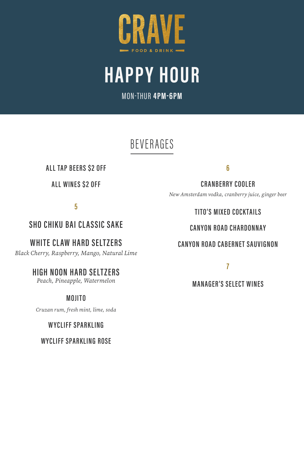

HAPPY HOUR

MON-THUR 4PM-6PM

# **BEVERAGES**

## ALL TAP BEERS \$2 OFF

## ALL WINES \$2 OFF

5

## SHO CHIKU BAI CLASSIC SAKE

WHITE CLAW HARD SELTZERS

*Black Cherry, Raspberry, Mango, Natural Lime*

## HIGH NOON HARD SELTZERS

*Peach, Pineapple, Watermelon*

## **MOUTO**

*Cruzan rum, fresh mint, lime, soda*

## WYCLIFF SPARKLING

WYCLIFF SPARKLING ROSE

6

CRANBERRY COOLER

*New Amsterdam vodka, cranberry juice, ginger beer*

## TITO'S MIXED COCKTAILS

## CANYON ROAD CHARDONNAY

## CANYON ROAD CABERNET SAUVIGNON

7

## MANAGER'S SELECT WINES